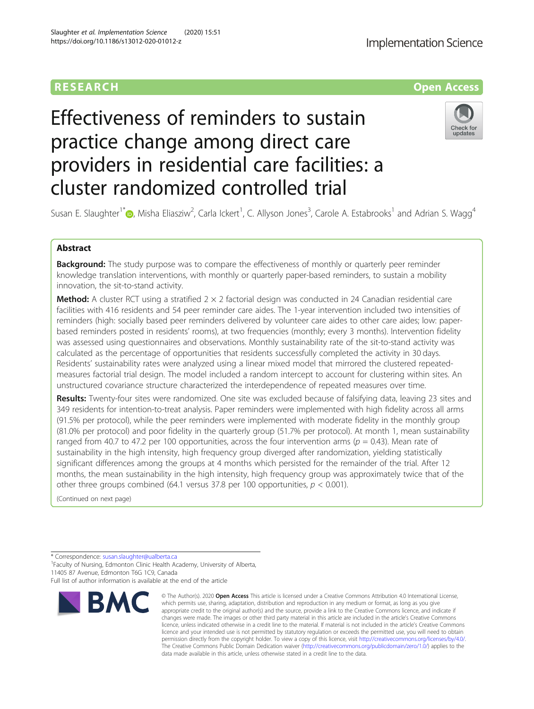# Effectiveness of reminders to sustain practice change among direct care providers in residential care facilities: a cluster randomized controlled trial



Susan E. Slaughter<sup>1\*</sup>�[,](http://orcid.org/0000-0001-6482-5632) Misha Eliasziw<sup>2</sup>, Carla Ickert<sup>1</sup>, C. Allyson Jones<sup>3</sup>, Carole A. Estabrooks<sup>1</sup> and Adrian S. Wagg<sup>4</sup>

# Abstract

**Background:** The study purpose was to compare the effectiveness of monthly or quarterly peer reminder knowledge translation interventions, with monthly or quarterly paper-based reminders, to sustain a mobility innovation, the sit-to-stand activity.

**Method:** A cluster RCT using a stratified  $2 \times 2$  factorial design was conducted in 24 Canadian residential care facilities with 416 residents and 54 peer reminder care aides. The 1-year intervention included two intensities of reminders (high: socially based peer reminders delivered by volunteer care aides to other care aides; low: paperbased reminders posted in residents' rooms), at two frequencies (monthly; every 3 months). Intervention fidelity was assessed using questionnaires and observations. Monthly sustainability rate of the sit-to-stand activity was calculated as the percentage of opportunities that residents successfully completed the activity in 30 days. Residents' sustainability rates were analyzed using a linear mixed model that mirrored the clustered repeatedmeasures factorial trial design. The model included a random intercept to account for clustering within sites. An unstructured covariance structure characterized the interdependence of repeated measures over time.

Results: Twenty-four sites were randomized. One site was excluded because of falsifying data, leaving 23 sites and 349 residents for intention-to-treat analysis. Paper reminders were implemented with high fidelity across all arms (91.5% per protocol), while the peer reminders were implemented with moderate fidelity in the monthly group (81.0% per protocol) and poor fidelity in the quarterly group (51.7% per protocol). At month 1, mean sustainability ranged from 40.7 to 47.2 per 100 opportunities, across the four intervention arms ( $p = 0.43$ ). Mean rate of sustainability in the high intensity, high frequency group diverged after randomization, yielding statistically significant differences among the groups at 4 months which persisted for the remainder of the trial. After 12 months, the mean sustainability in the high intensity, high frequency group was approximately twice that of the other three groups combined (64.1 versus 37.8 per 100 opportunities,  $p < 0.001$ ).

(Continued on next page)

\* Correspondence: [susan.slaughter@ualberta.ca](mailto:susan.slaughter@ualberta.ca) <sup>1</sup>

<sup>1</sup> Faculty of Nursing, Edmonton Clinic Health Academy, University of Alberta, 11405 87 Avenue, Edmonton T6G 1C9, Canada

Full list of author information is available at the end of the article



<sup>©</sup> The Author(s), 2020 **Open Access** This article is licensed under a Creative Commons Attribution 4.0 International License, which permits use, sharing, adaptation, distribution and reproduction in any medium or format, as long as you give appropriate credit to the original author(s) and the source, provide a link to the Creative Commons licence, and indicate if changes were made. The images or other third party material in this article are included in the article's Creative Commons licence, unless indicated otherwise in a credit line to the material. If material is not included in the article's Creative Commons licence and your intended use is not permitted by statutory regulation or exceeds the permitted use, you will need to obtain permission directly from the copyright holder. To view a copy of this licence, visit [http://creativecommons.org/licenses/by/4.0/.](http://creativecommons.org/licenses/by/4.0/) The Creative Commons Public Domain Dedication waiver [\(http://creativecommons.org/publicdomain/zero/1.0/](http://creativecommons.org/publicdomain/zero/1.0/)) applies to the data made available in this article, unless otherwise stated in a credit line to the data.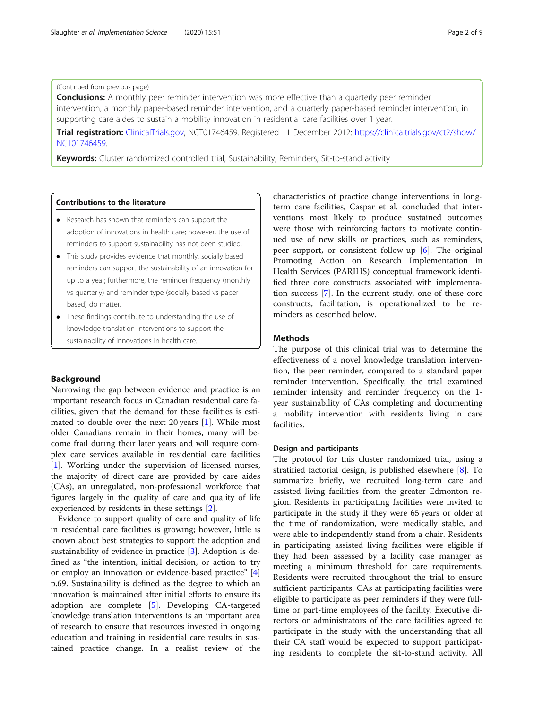# (Continued from previous page)

**Conclusions:** A monthly peer reminder intervention was more effective than a quarterly peer reminder intervention, a monthly paper-based reminder intervention, and a quarterly paper-based reminder intervention, in supporting care aides to sustain a mobility innovation in residential care facilities over 1 year.

Trial registration: [ClinicalTrials.gov](http://clinicaltrials.gov), NCT01746459. Registered 11 December 2012: [https://clinicaltrials.gov/ct2/show/](https://clinicaltrials.gov/ct2/show/NCT01746459) [NCT01746459](https://clinicaltrials.gov/ct2/show/NCT01746459).

Keywords: Cluster randomized controlled trial, Sustainability, Reminders, Sit-to-stand activity

## Contributions to the literature

- Research has shown that reminders can support the adoption of innovations in health care; however, the use of reminders to support sustainability has not been studied.
- This study provides evidence that monthly, socially based reminders can support the sustainability of an innovation for up to a year; furthermore, the reminder frequency (monthly vs quarterly) and reminder type (socially based vs paperbased) do matter.
- These findings contribute to understanding the use of knowledge translation interventions to support the sustainability of innovations in health care.

# Background

Narrowing the gap between evidence and practice is an important research focus in Canadian residential care facilities, given that the demand for these facilities is estimated to double over the next 20 years [[1\]](#page-7-0). While most older Canadians remain in their homes, many will become frail during their later years and will require complex care services available in residential care facilities [[1\]](#page-7-0). Working under the supervision of licensed nurses, the majority of direct care are provided by care aides (CAs), an unregulated, non-professional workforce that figures largely in the quality of care and quality of life experienced by residents in these settings [\[2](#page-7-0)].

Evidence to support quality of care and quality of life in residential care facilities is growing; however, little is known about best strategies to support the adoption and sustainability of evidence in practice [\[3](#page-8-0)]. Adoption is defined as "the intention, initial decision, or action to try or employ an innovation or evidence-based practice" [\[4](#page-8-0)] p.69. Sustainability is defined as the degree to which an innovation is maintained after initial efforts to ensure its adoption are complete [[5\]](#page-8-0). Developing CA-targeted knowledge translation interventions is an important area of research to ensure that resources invested in ongoing education and training in residential care results in sustained practice change. In a realist review of the

characteristics of practice change interventions in longterm care facilities, Caspar et al. concluded that interventions most likely to produce sustained outcomes were those with reinforcing factors to motivate continued use of new skills or practices, such as reminders, peer support, or consistent follow-up  $[6]$  $[6]$ . The original Promoting Action on Research Implementation in Health Services (PARIHS) conceptual framework identified three core constructs associated with implementation success [\[7](#page-8-0)]. In the current study, one of these core constructs, facilitation, is operationalized to be reminders as described below.

# Methods

The purpose of this clinical trial was to determine the effectiveness of a novel knowledge translation intervention, the peer reminder, compared to a standard paper reminder intervention. Specifically, the trial examined reminder intensity and reminder frequency on the 1 year sustainability of CAs completing and documenting a mobility intervention with residents living in care facilities.

# Design and participants

The protocol for this cluster randomized trial, using a stratified factorial design, is published elsewhere [[8\]](#page-8-0). To summarize briefly, we recruited long-term care and assisted living facilities from the greater Edmonton region. Residents in participating facilities were invited to participate in the study if they were 65 years or older at the time of randomization, were medically stable, and were able to independently stand from a chair. Residents in participating assisted living facilities were eligible if they had been assessed by a facility case manager as meeting a minimum threshold for care requirements. Residents were recruited throughout the trial to ensure sufficient participants. CAs at participating facilities were eligible to participate as peer reminders if they were fulltime or part-time employees of the facility. Executive directors or administrators of the care facilities agreed to participate in the study with the understanding that all their CA staff would be expected to support participating residents to complete the sit-to-stand activity. All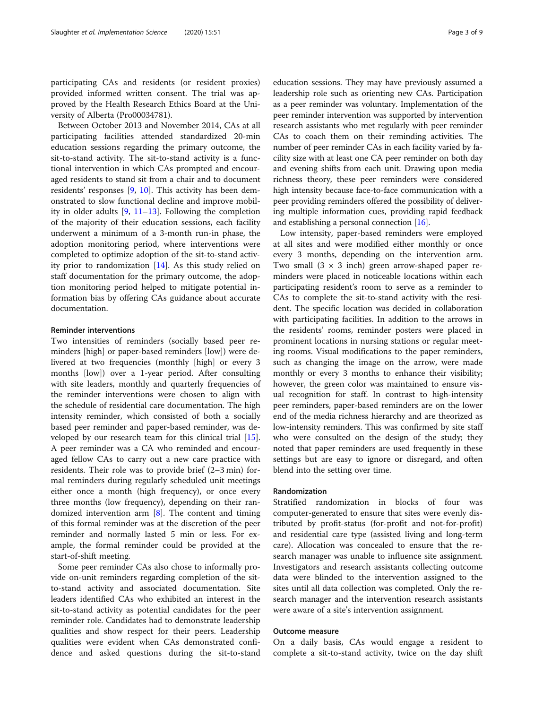participating CAs and residents (or resident proxies) provided informed written consent. The trial was approved by the Health Research Ethics Board at the University of Alberta (Pro00034781).

Between October 2013 and November 2014, CAs at all participating facilities attended standardized 20-min education sessions regarding the primary outcome, the sit-to-stand activity. The sit-to-stand activity is a functional intervention in which CAs prompted and encouraged residents to stand sit from a chair and to document residents' responses [\[9,](#page-8-0) [10\]](#page-8-0). This activity has been demonstrated to slow functional decline and improve mobility in older adults [[9](#page-8-0), [11](#page-8-0)–[13\]](#page-8-0). Following the completion of the majority of their education sessions, each facility underwent a minimum of a 3-month run-in phase, the adoption monitoring period, where interventions were completed to optimize adoption of the sit-to-stand activity prior to randomization [\[14](#page-8-0)]. As this study relied on staff documentation for the primary outcome, the adoption monitoring period helped to mitigate potential information bias by offering CAs guidance about accurate documentation.

# Reminder interventions

Two intensities of reminders (socially based peer reminders [high] or paper-based reminders [low]) were delivered at two frequencies (monthly [high] or every 3 months [low]) over a 1-year period. After consulting with site leaders, monthly and quarterly frequencies of the reminder interventions were chosen to align with the schedule of residential care documentation. The high intensity reminder, which consisted of both a socially based peer reminder and paper-based reminder, was developed by our research team for this clinical trial [\[15](#page-8-0)]. A peer reminder was a CA who reminded and encouraged fellow CAs to carry out a new care practice with residents. Their role was to provide brief (2–3 min) formal reminders during regularly scheduled unit meetings either once a month (high frequency), or once every three months (low frequency), depending on their randomized intervention arm [[8\]](#page-8-0). The content and timing of this formal reminder was at the discretion of the peer reminder and normally lasted 5 min or less. For example, the formal reminder could be provided at the start-of-shift meeting.

Some peer reminder CAs also chose to informally provide on-unit reminders regarding completion of the sitto-stand activity and associated documentation. Site leaders identified CAs who exhibited an interest in the sit-to-stand activity as potential candidates for the peer reminder role. Candidates had to demonstrate leadership qualities and show respect for their peers. Leadership qualities were evident when CAs demonstrated confidence and asked questions during the sit-to-stand

education sessions. They may have previously assumed a leadership role such as orienting new CAs. Participation as a peer reminder was voluntary. Implementation of the peer reminder intervention was supported by intervention research assistants who met regularly with peer reminder CAs to coach them on their reminding activities. The number of peer reminder CAs in each facility varied by facility size with at least one CA peer reminder on both day and evening shifts from each unit. Drawing upon media richness theory, these peer reminders were considered high intensity because face-to-face communication with a peer providing reminders offered the possibility of delivering multiple information cues, providing rapid feedback and establishing a personal connection [\[16\]](#page-8-0).

Low intensity, paper-based reminders were employed at all sites and were modified either monthly or once every 3 months, depending on the intervention arm. Two small  $(3 \times 3 \text{ inch})$  green arrow-shaped paper reminders were placed in noticeable locations within each participating resident's room to serve as a reminder to CAs to complete the sit-to-stand activity with the resident. The specific location was decided in collaboration with participating facilities. In addition to the arrows in the residents' rooms, reminder posters were placed in prominent locations in nursing stations or regular meeting rooms. Visual modifications to the paper reminders, such as changing the image on the arrow, were made monthly or every 3 months to enhance their visibility; however, the green color was maintained to ensure visual recognition for staff. In contrast to high-intensity peer reminders, paper-based reminders are on the lower end of the media richness hierarchy and are theorized as low-intensity reminders. This was confirmed by site staff who were consulted on the design of the study; they noted that paper reminders are used frequently in these settings but are easy to ignore or disregard, and often blend into the setting over time.

# Randomization

Stratified randomization in blocks of four was computer-generated to ensure that sites were evenly distributed by profit-status (for-profit and not-for-profit) and residential care type (assisted living and long-term care). Allocation was concealed to ensure that the research manager was unable to influence site assignment. Investigators and research assistants collecting outcome data were blinded to the intervention assigned to the sites until all data collection was completed. Only the research manager and the intervention research assistants were aware of a site's intervention assignment.

# Outcome measure

On a daily basis, CAs would engage a resident to complete a sit-to-stand activity, twice on the day shift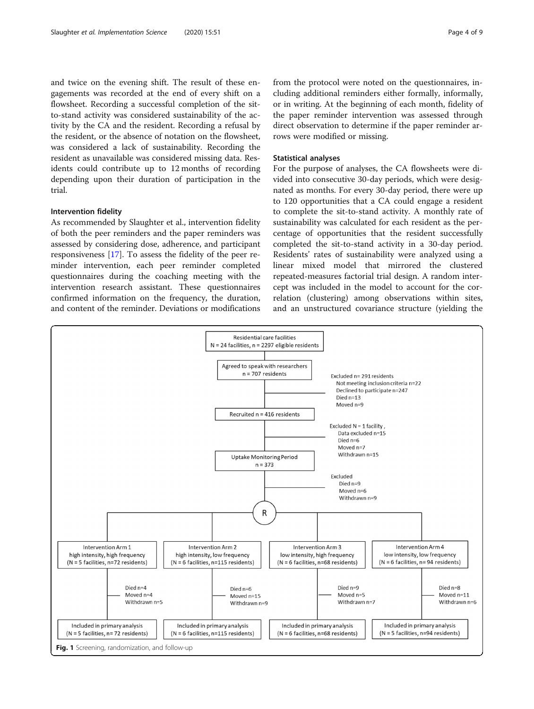<span id="page-3-0"></span>and twice on the evening shift. The result of these engagements was recorded at the end of every shift on a flowsheet. Recording a successful completion of the sitto-stand activity was considered sustainability of the activity by the CA and the resident. Recording a refusal by the resident, or the absence of notation on the flowsheet, was considered a lack of sustainability. Recording the resident as unavailable was considered missing data. Residents could contribute up to 12 months of recording depending upon their duration of participation in the trial.

# Intervention fidelity

As recommended by Slaughter et al., intervention fidelity of both the peer reminders and the paper reminders was assessed by considering dose, adherence, and participant responsiveness [\[17](#page-8-0)]. To assess the fidelity of the peer reminder intervention, each peer reminder completed questionnaires during the coaching meeting with the intervention research assistant. These questionnaires confirmed information on the frequency, the duration, and content of the reminder. Deviations or modifications

from the protocol were noted on the questionnaires, including additional reminders either formally, informally, or in writing. At the beginning of each month, fidelity of the paper reminder intervention was assessed through direct observation to determine if the paper reminder arrows were modified or missing.

# Statistical analyses

For the purpose of analyses, the CA flowsheets were divided into consecutive 30-day periods, which were designated as months. For every 30-day period, there were up to 120 opportunities that a CA could engage a resident to complete the sit-to-stand activity. A monthly rate of sustainability was calculated for each resident as the percentage of opportunities that the resident successfully completed the sit-to-stand activity in a 30-day period. Residents' rates of sustainability were analyzed using a linear mixed model that mirrored the clustered repeated-measures factorial trial design. A random intercept was included in the model to account for the correlation (clustering) among observations within sites, and an unstructured covariance structure (yielding the

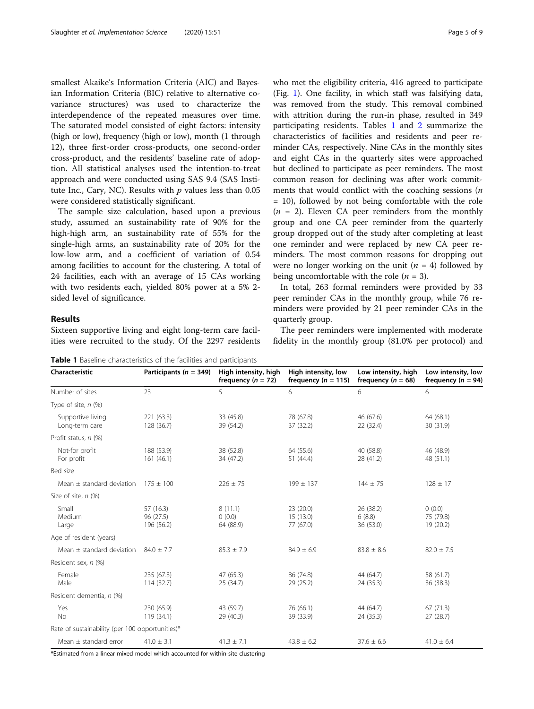<span id="page-4-0"></span>smallest Akaike's Information Criteria (AIC) and Bayesian Information Criteria (BIC) relative to alternative covariance structures) was used to characterize the interdependence of the repeated measures over time. The saturated model consisted of eight factors: intensity (high or low), frequency (high or low), month (1 through 12), three first-order cross-products, one second-order cross-product, and the residents' baseline rate of adoption. All statistical analyses used the intention-to-treat approach and were conducted using SAS 9.4 (SAS Institute Inc., Cary, NC). Results with  $p$  values less than 0.05 were considered statistically significant.

The sample size calculation, based upon a previous study, assumed an sustainability rate of 90% for the high-high arm, an sustainability rate of 55% for the single-high arms, an sustainability rate of 20% for the low-low arm, and a coefficient of variation of 0.54 among facilities to account for the clustering. A total of 24 facilities, each with an average of 15 CAs working with two residents each, yielded 80% power at a 5% 2 sided level of significance.

# Results

Sixteen supportive living and eight long-term care facilities were recruited to the study. Of the 2297 residents

Table 1 Baseline characteristics of the facilities and participants

who met the eligibility criteria, 416 agreed to participate (Fig. [1\)](#page-3-0). One facility, in which staff was falsifying data, was removed from the study. This removal combined with attrition during the run-in phase, resulted in 349 participating residents. Tables 1 and [2](#page-5-0) summarize the characteristics of facilities and residents and peer reminder CAs, respectively. Nine CAs in the monthly sites and eight CAs in the quarterly sites were approached but declined to participate as peer reminders. The most common reason for declining was after work commitments that would conflict with the coaching sessions  $(n)$ = 10), followed by not being comfortable with the role  $(n = 2)$ . Eleven CA peer reminders from the monthly group and one CA peer reminder from the quarterly group dropped out of the study after completing at least one reminder and were replaced by new CA peer reminders. The most common reasons for dropping out were no longer working on the unit  $(n = 4)$  followed by being uncomfortable with the role  $(n = 3)$ .

In total, 263 formal reminders were provided by 33 peer reminder CAs in the monthly group, while 76 reminders were provided by 21 peer reminder CAs in the quarterly group.

The peer reminders were implemented with moderate fidelity in the monthly group (81.0% per protocol) and

| Characteristic                                  | Participants ( $n = 349$ )           | High intensity, high<br>frequency $(n = 72)$ | High intensity, low<br>frequency ( $n = 115$ ) | Low intensity, high<br>frequency ( $n = 68$ ) | Low intensity, low<br>frequency ( $n = 94$ ) |  |
|-------------------------------------------------|--------------------------------------|----------------------------------------------|------------------------------------------------|-----------------------------------------------|----------------------------------------------|--|
| Number of sites                                 | 23                                   |                                              | 6                                              | 6                                             | 6                                            |  |
| Type of site, $n$ (%)                           |                                      |                                              |                                                |                                               |                                              |  |
| Supportive living<br>Long-term care             | 221 (63.3)<br>128 (36.7)             | 33 (45.8)<br>39 (54.2)                       | 78 (67.8)<br>37 (32.2)                         | 46 (67.6)<br>22 (32.4)                        | 64 (68.1)<br>30 (31.9)                       |  |
| Profit status, n (%)                            |                                      |                                              |                                                |                                               |                                              |  |
| Not-for profit<br>For profit                    | 188 (53.9)<br>161(46.1)              | 38 (52.8)<br>34 (47.2)                       | 64 (55.6)<br>51(44.4)                          | 40 (58.8)<br>28 (41.2)                        | 46 (48.9)<br>48 (51.1)                       |  |
| Bed size                                        |                                      |                                              |                                                |                                               |                                              |  |
| Mean $\pm$ standard deviation                   | $175 \pm 100$                        | $226 \pm 75$                                 | $199 \pm 137$                                  | $144 \pm 75$                                  | $128 \pm 17$                                 |  |
| Size of site, n (%)                             |                                      |                                              |                                                |                                               |                                              |  |
| Small<br>Medium<br>Large                        | 57 (16.3)<br>96 (27.5)<br>196 (56.2) | 8(11.1)<br>0(0.0)<br>64 (88.9)               | 23(20.0)<br>15 (13.0)<br>77 (67.0)             | 26 (38.2)<br>6(8.8)<br>36 (53.0)              | (0.0)<br>75 (79.8)<br>19 (20.2)              |  |
| Age of resident (years)                         |                                      |                                              |                                                |                                               |                                              |  |
| Mean $\pm$ standard deviation                   | $84.0 \pm 7.7$                       | $85.3 \pm 7.9$                               | $84.9 \pm 6.9$                                 | $83.8 \pm 8.6$                                | $82.0 \pm 7.5$                               |  |
| Resident sex, n (%)                             |                                      |                                              |                                                |                                               |                                              |  |
| Female<br>Male                                  | 235 (67.3)<br>114(32.7)              |                                              | 86 (74.8)<br>29 (25.2)                         | 44 (64.7)<br>24 (35.3)                        | 58 (61.7)<br>36 (38.3)                       |  |
| Resident dementia, n (%)                        |                                      |                                              |                                                |                                               |                                              |  |
| Yes<br><b>No</b>                                | 230 (65.9)<br>119 (34.1)             |                                              | 76 (66.1)<br>39 (33.9)                         | 44 (64.7)<br>24(35.3)                         | 67(71.3)<br>27(28.7)                         |  |
| Rate of sustainability (per 100 opportunities)* |                                      |                                              |                                                |                                               |                                              |  |
| Mean $\pm$ standard error                       | $41.0 \pm 3.1$                       |                                              | $43.8 \pm 6.2$                                 | $37.6 \pm 6.6$                                | $41.0 \pm 6.4$                               |  |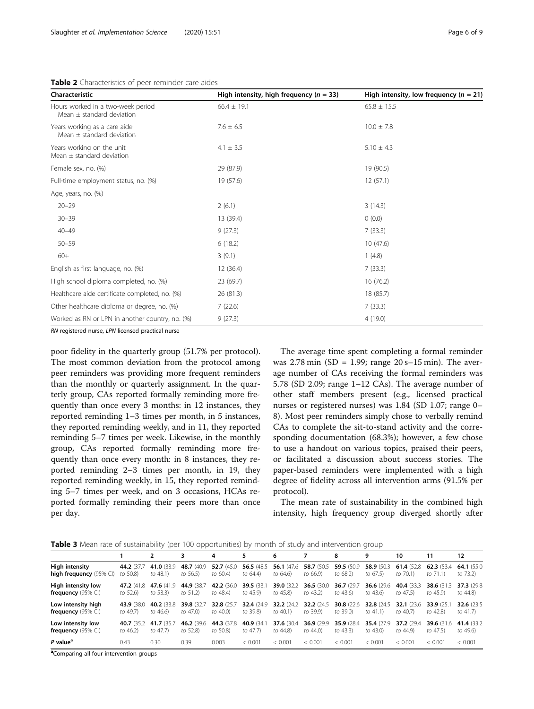<span id="page-5-0"></span>

| Table 2 Characteristics of peer reminder care aides |  |
|-----------------------------------------------------|--|
|-----------------------------------------------------|--|

| Characteristic                                                     | High intensity, high frequency ( $n = 33$ ) | High intensity, low frequency ( $n = 21$ ) |  |  |  |
|--------------------------------------------------------------------|---------------------------------------------|--------------------------------------------|--|--|--|
| Hours worked in a two-week period<br>Mean $\pm$ standard deviation | $66.4 \pm 19.1$                             | $65.8 \pm 15.5$                            |  |  |  |
| Years working as a care aide<br>Mean $\pm$ standard deviation      | $7.6 \pm 6.5$                               | $10.0 \pm 7.8$                             |  |  |  |
| Years working on the unit<br>Mean $\pm$ standard deviation         | 4.1 $\pm$ 3.5                               | $5.10 \pm 4.3$                             |  |  |  |
| Female sex, no. (%)                                                | 29 (87.9)                                   | 19 (90.5)                                  |  |  |  |
| Full-time employment status, no. (%)                               | 19 (57.6)                                   | 12(57.1)                                   |  |  |  |
| Age, years, no. (%)                                                |                                             |                                            |  |  |  |
| $20 - 29$                                                          | 2(6.1)                                      | 3(14.3)                                    |  |  |  |
| $30 - 39$                                                          | 13 (39.4)                                   | 0(0.0)                                     |  |  |  |
| $40 - 49$                                                          | 9(27.3)                                     | 7(33.3)                                    |  |  |  |
| $50 - 59$                                                          | 6(18.2)                                     | 10(47.6)                                   |  |  |  |
| $60+$                                                              | 3(9.1)                                      | 1(4.8)                                     |  |  |  |
| English as first language, no. (%)                                 | 12 (36.4)                                   | 7(33.3)                                    |  |  |  |
| High school diploma completed, no. (%)                             | 23 (69.7)                                   | 16 (76.2)                                  |  |  |  |
| Healthcare aide certificate completed, no. (%)                     | 26(81.3)                                    | 18 (85.7)                                  |  |  |  |
| Other healthcare diploma or degree, no. (%)                        | 7(22.6)                                     | 7(33.3)                                    |  |  |  |
| Worked as RN or LPN in another country, no. (%)                    | 9(27.3)                                     | 4(19.0)                                    |  |  |  |

RN registered nurse, LPN licensed practical nurse

poor fidelity in the quarterly group (51.7% per protocol). The most common deviation from the protocol among peer reminders was providing more frequent reminders than the monthly or quarterly assignment. In the quarterly group, CAs reported formally reminding more frequently than once every 3 months: in 12 instances, they reported reminding 1–3 times per month, in 5 instances, they reported reminding weekly, and in 11, they reported reminding 5–7 times per week. Likewise, in the monthly group, CAs reported formally reminding more frequently than once every month: in 8 instances, they reported reminding 2–3 times per month, in 19, they reported reminding weekly, in 15, they reported reminding 5–7 times per week, and on 3 occasions, HCAs reported formally reminding their peers more than once per day.

The average time spent completing a formal reminder was  $2.78 \text{ min}$  (SD = 1.99; range  $20 \text{ s}-15 \text{ min}$ ). The average number of CAs receiving the formal reminders was 5.78 (SD 2.09; range 1–12 CAs). The average number of other staff members present (e.g., licensed practical nurses or registered nurses) was 1.84 (SD 1.07; range 0– 8). Most peer reminders simply chose to verbally remind CAs to complete the sit-to-stand activity and the corresponding documentation (68.3%); however, a few chose to use a handout on various topics, praised their peers, or facilitated a discussion about success stories. The paper-based reminders were implemented with a high degree of fidelity across all intervention arms (91.5% per protocol).

The mean rate of sustainability in the combined high intensity, high frequency group diverged shortly after

**Table 3** Mean rate of sustainability (per 100 opportunities) by month of study and intervention group

|                               |                    |             | 3           | 4           | 5           | 6           |             | 8           | 9           | 10                 | 11          | 12          |
|-------------------------------|--------------------|-------------|-------------|-------------|-------------|-------------|-------------|-------------|-------------|--------------------|-------------|-------------|
| High intensity                | 44.2 (37.7         | 41.0 (33.9) | 48.7 (40.9) | 52.7 (45.0) | 56.5 (48.5) | 56.1 (47.6) | 58.7 (50.5  | 59.5 (50.9  | 58.9 (50.3) | 61.4 (52.8)        | 62.3 (53.4) | 64.1 (55.0  |
| high frequency (95% CI)       | to 50.8)           | to 48.1)    | to 56.5)    | to 60.4)    | to 64.4)    | to 64.6)    | to 66.9)    | to 68.2)    | to 67.5)    | to 70.1)           | to 71.1)    | to 73.2)    |
| High intensity low            | 47.2 (41.8)        | 47.6 (41.9) | 44.9 (38.7  | 42.2 (36.0) | 39.5 (33.1  | 39.0 (32.2) | 36.5 (30.0) | 36.7 (29.7  | 36.6 (29.6) | 40.4 (33.3)        | 38.6 (31.3) | 37.3 (29.8) |
| frequency $(95\% \text{ Cl})$ | to 52.6)           | to 53.3)    | to 51.2)    | to 48.4)    | to 45.9)    | to 45.8)    | to 43.2)    | to 43.6)    | to 43.6)    | to 47.5)           | to 45.9)    | to 44.8)    |
| Low intensity high            | 43.9 (38.0)        | 40.2 (33.8) | 39.8 (32.7  | 32.8 (25.7  | 32.4 (24.9) | 32.2 (24.2) | 32.2 (24.5) | 30.8 (22.6) | 32.8 (24.5) | <b>32.1</b> (23.6) | 33.9 (25.1  | 32.6 (23.5) |
| frequency $(95\% \text{ Cl})$ | to 49.7)           | to 46.6)    | to 47.0)    | to 40.0)    | to 39.8)    | to $40.1$ ) | to 39.9)    | to 39.0)    | to 41.1)    | to 40.7)           | to 42.8)    | to 41.7)    |
| Low intensity low             | <b>40.7</b> (35.2) | 41.7 (35.7  | 46.2 (39.6) | 44.3 (37.8) | 40.9 (34.1) | 37.6 (30.4) | 36.9 (29.9) | 35.9 (28.4) | 35.4 (27.9) | 37.2 (29.4)        | 39.6 (31.6) | 41.4 (33.2) |
| frequency $(95\% \text{ Cl})$ | to $46.2$          | to 47.7)    | to 52.8)    | to 50.8)    | to 47.7)    | to 44.8)    | to 44.0)    | to 43.3)    | to 43.0)    | to 44.9)           | to 47.5)    | to 49.6)    |
| P value <sup>a</sup>          | 0.43               | 0.30        | 0.39        | 0.003       | < 0.001     | < 0.001     | < 0.001     | < 0.001     | < 0.001     | < 0.001            | < 0.001     | < 0.001     |

<sup>a</sup>Comparing all four intervention groups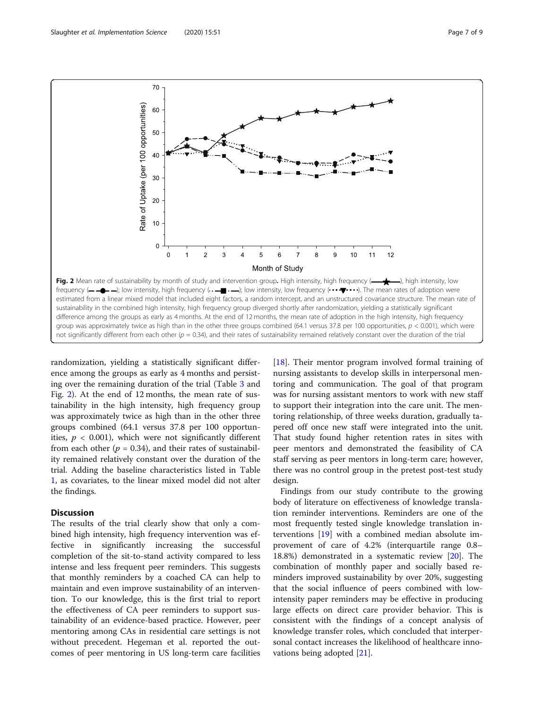randomization, yielding a statistically significant difference among the groups as early as 4 months and persisting over the remaining duration of the trial (Table [3](#page-5-0) and Fig. 2). At the end of 12 months, the mean rate of sustainability in the high intensity, high frequency group was approximately twice as high than in the other three groups combined (64.1 versus 37.8 per 100 opportunities,  $p < 0.001$ ), which were not significantly different from each other ( $p = 0.34$ ), and their rates of sustainability remained relatively constant over the duration of the trial. Adding the baseline characteristics listed in Table [1,](#page-4-0) as covariates, to the linear mixed model did not alter the findings.

# **Discussion**

The results of the trial clearly show that only a combined high intensity, high frequency intervention was effective in significantly increasing the successful completion of the sit-to-stand activity compared to less intense and less frequent peer reminders. This suggests that monthly reminders by a coached CA can help to maintain and even improve sustainability of an intervention. To our knowledge, this is the first trial to report the effectiveness of CA peer reminders to support sustainability of an evidence-based practice. However, peer mentoring among CAs in residential care settings is not without precedent. Hegeman et al. reported the outcomes of peer mentoring in US long-term care facilities

[[18\]](#page-8-0). Their mentor program involved formal training of nursing assistants to develop skills in interpersonal mentoring and communication. The goal of that program was for nursing assistant mentors to work with new staff to support their integration into the care unit. The mentoring relationship, of three weeks duration, gradually tapered off once new staff were integrated into the unit. That study found higher retention rates in sites with peer mentors and demonstrated the feasibility of CA staff serving as peer mentors in long-term care; however, there was no control group in the pretest post-test study design.

Findings from our study contribute to the growing body of literature on effectiveness of knowledge translation reminder interventions. Reminders are one of the most frequently tested single knowledge translation interventions [[19\]](#page-8-0) with a combined median absolute improvement of care of 4.2% (interquartile range 0.8– 18.8%) demonstrated in a systematic review [\[20\]](#page-8-0). The combination of monthly paper and socially based reminders improved sustainability by over 20%, suggesting that the social influence of peers combined with lowintensity paper reminders may be effective in producing large effects on direct care provider behavior. This is consistent with the findings of a concept analysis of knowledge transfer roles, which concluded that interpersonal contact increases the likelihood of healthcare innovations being adopted [[21](#page-8-0)].



70

60

50

 $40$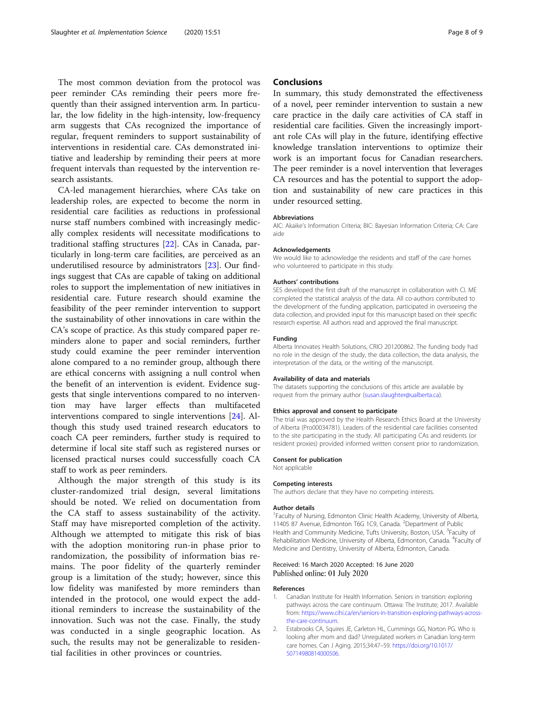<span id="page-7-0"></span>The most common deviation from the protocol was peer reminder CAs reminding their peers more frequently than their assigned intervention arm. In particular, the low fidelity in the high-intensity, low-frequency arm suggests that CAs recognized the importance of regular, frequent reminders to support sustainability of interventions in residential care. CAs demonstrated initiative and leadership by reminding their peers at more frequent intervals than requested by the intervention research assistants.

CA-led management hierarchies, where CAs take on leadership roles, are expected to become the norm in residential care facilities as reductions in professional nurse staff numbers combined with increasingly medically complex residents will necessitate modifications to traditional staffing structures [[22](#page-8-0)]. CAs in Canada, particularly in long-term care facilities, are perceived as an underutilised resource by administrators [[23\]](#page-8-0). Our findings suggest that CAs are capable of taking on additional roles to support the implementation of new initiatives in residential care. Future research should examine the feasibility of the peer reminder intervention to support the sustainability of other innovations in care within the CA's scope of practice. As this study compared paper reminders alone to paper and social reminders, further study could examine the peer reminder intervention alone compared to a no reminder group, although there are ethical concerns with assigning a null control when the benefit of an intervention is evident. Evidence suggests that single interventions compared to no intervention may have larger effects than multifaceted interventions compared to single interventions [\[24](#page-8-0)]. Although this study used trained research educators to coach CA peer reminders, further study is required to determine if local site staff such as registered nurses or licensed practical nurses could successfully coach CA staff to work as peer reminders.

Although the major strength of this study is its cluster-randomized trial design, several limitations should be noted. We relied on documentation from the CA staff to assess sustainability of the activity. Staff may have misreported completion of the activity. Although we attempted to mitigate this risk of bias with the adoption monitoring run-in phase prior to randomization, the possibility of information bias remains. The poor fidelity of the quarterly reminder group is a limitation of the study; however, since this low fidelity was manifested by more reminders than intended in the protocol, one would expect the additional reminders to increase the sustainability of the innovation. Such was not the case. Finally, the study was conducted in a single geographic location. As such, the results may not be generalizable to residential facilities in other provinces or countries.

# **Conclusions**

In summary, this study demonstrated the effectiveness of a novel, peer reminder intervention to sustain a new care practice in the daily care activities of CA staff in residential care facilities. Given the increasingly important role CAs will play in the future, identifying effective knowledge translation interventions to optimize their work is an important focus for Canadian researchers. The peer reminder is a novel intervention that leverages CA resources and has the potential to support the adoption and sustainability of new care practices in this under resourced setting.

### Abbreviations

AIC: Akaike's Information Criteria; BIC: Bayesian Information Criteria; CA: Care aide

#### Acknowledgements

We would like to acknowledge the residents and staff of the care homes who volunteered to participate in this study.

#### Authors' contributions

SES developed the first draft of the manuscript in collaboration with CI. ME completed the statistical analysis of the data. All co-authors contributed to the development of the funding application, participated in overseeing the data collection, and provided input for this manuscript based on their specific research expertise. All authors read and approved the final manuscript.

#### Funding

Alberta Innovates Health Solutions, CRIO 201200862. The funding body had no role in the design of the study, the data collection, the data analysis, the interpretation of the data, or the writing of the manuscript.

#### Availability of data and materials

The datasets supporting the conclusions of this article are available by request from the primary author ([susan.slaughter@ualberta.ca](mailto:susan.slaughter@ualberta.ca)).

#### Ethics approval and consent to participate

The trial was approved by the Health Research Ethics Board at the University of Alberta (Pro00034781). Leaders of the residential care facilities consented to the site participating in the study. All participating CAs and residents (or resident proxies) provided informed written consent prior to randomization.

#### Consent for publication

Not applicable

#### Competing interests

The authors declare that they have no competing interests.

#### Author details

<sup>1</sup> Faculty of Nursing, Edmonton Clinic Health Academy, University of Alberta, 11405 87 Avenue, Edmonton T6G 1C9, Canada. <sup>2</sup>Department of Public Health and Community Medicine, Tufts University, Boston, USA. <sup>3</sup>Faculty of Rehabilitation Medicine, University of Alberta, Edmonton, Canada. <sup>4</sup>Faculty of Medicine and Dentistry, University of Alberta, Edmonton, Canada.

# Received: 16 March 2020 Accepted: 16 June 2020 Published online: 01 July 2020

#### References

- 1. Canadian Institute for Health Information. Seniors in transition: exploring pathways across the care continuum. Ottawa: The Institute; 2017. Available from: [https://www.cihi.ca/en/seniors-in-transition-exploring-pathways-across](https://www.cihi.ca/en/seniors-in-transition-exploring-pathways-across-the-care-continuum)[the-care-continuum](https://www.cihi.ca/en/seniors-in-transition-exploring-pathways-across-the-care-continuum).
- 2. Estabrooks CA, Squires JE, Carleton HL, Cummings GG, Norton PG. Who is looking after mom and dad? Unregulated workers in Canadian long-term care homes. Can J Aging. 2015;34:47–59. [https://doi.org/10.1017/](https://doi.org/10.1017/S0714980814000506) [S0714980814000506.](https://doi.org/10.1017/S0714980814000506)